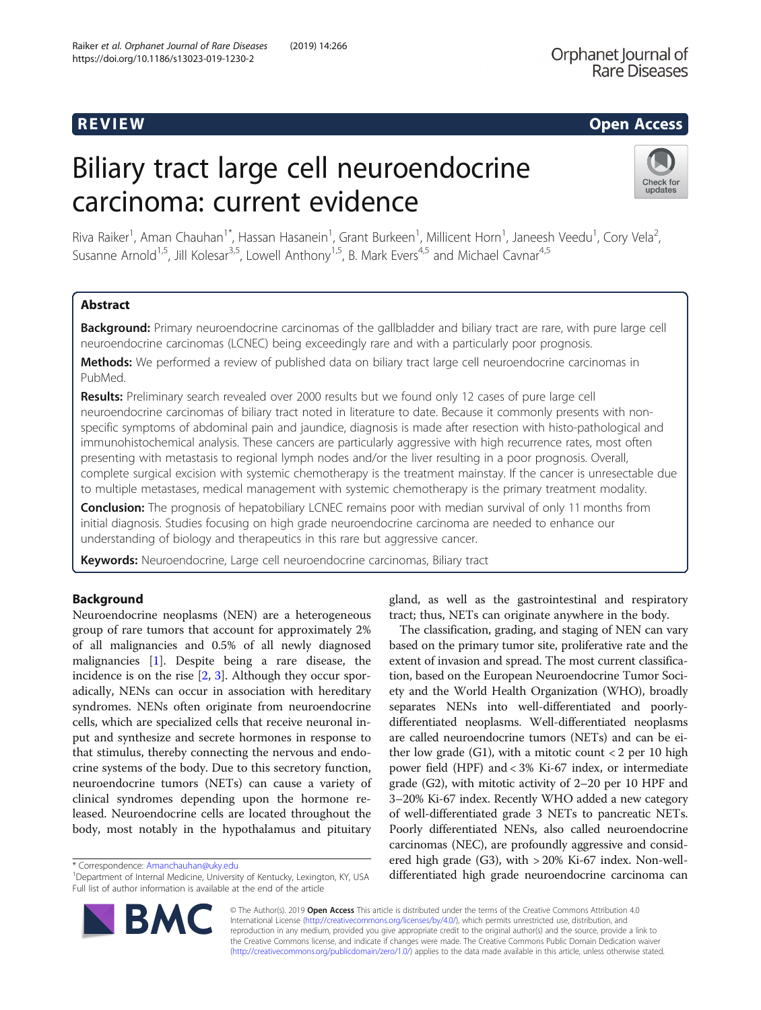# R EVI EW Open Access

# Biliary tract large cell neuroendocrine carcinoma: current evidence



Riva Raiker<sup>1</sup>, Aman Chauhan<sup>1\*</sup>, Hassan Hasanein<sup>1</sup>, Grant Burkeen<sup>1</sup>, Millicent Horn<sup>1</sup>, Janeesh Veedu<sup>1</sup>, Cory Vela<sup>2</sup> .<br>, Susanne Arnold<sup>1,5</sup>, Jill Kolesar<sup>3,5</sup>, Lowell Anthony<sup>1,5</sup>, B. Mark Evers<sup>4,5</sup> and Michael Cavnar<sup>4,5</sup>

# Abstract

Background: Primary neuroendocrine carcinomas of the gallbladder and biliary tract are rare, with pure large cell neuroendocrine carcinomas (LCNEC) being exceedingly rare and with a particularly poor prognosis.

Methods: We performed a review of published data on biliary tract large cell neuroendocrine carcinomas in PubMed.

Results: Preliminary search revealed over 2000 results but we found only 12 cases of pure large cell neuroendocrine carcinomas of biliary tract noted in literature to date. Because it commonly presents with nonspecific symptoms of abdominal pain and jaundice, diagnosis is made after resection with histo-pathological and immunohistochemical analysis. These cancers are particularly aggressive with high recurrence rates, most often presenting with metastasis to regional lymph nodes and/or the liver resulting in a poor prognosis. Overall, complete surgical excision with systemic chemotherapy is the treatment mainstay. If the cancer is unresectable due to multiple metastases, medical management with systemic chemotherapy is the primary treatment modality.

**Conclusion:** The prognosis of hepatobiliary LCNEC remains poor with median survival of only 11 months from initial diagnosis. Studies focusing on high grade neuroendocrine carcinoma are needed to enhance our understanding of biology and therapeutics in this rare but aggressive cancer.

Keywords: Neuroendocrine, Large cell neuroendocrine carcinomas, Biliary tract

# Background

Neuroendocrine neoplasms (NEN) are a heterogeneous group of rare tumors that account for approximately 2% of all malignancies and 0.5% of all newly diagnosed malignancies [[1\]](#page-4-0). Despite being a rare disease, the incidence is on the rise [[2,](#page-4-0) [3](#page-4-0)]. Although they occur sporadically, NENs can occur in association with hereditary syndromes. NENs often originate from neuroendocrine cells, which are specialized cells that receive neuronal input and synthesize and secrete hormones in response to that stimulus, thereby connecting the nervous and endocrine systems of the body. Due to this secretory function, neuroendocrine tumors (NETs) can cause a variety of clinical syndromes depending upon the hormone released. Neuroendocrine cells are located throughout the body, most notably in the hypothalamus and pituitary

\* Correspondence: [Amanchauhan@uky.edu](mailto:Amanchauhan@uky.edu) <sup>1</sup>



The classification, grading, and staging of NEN can vary based on the primary tumor site, proliferative rate and the extent of invasion and spread. The most current classification, based on the European Neuroendocrine Tumor Society and the World Health Organization (WHO), broadly separates NENs into well-differentiated and poorlydifferentiated neoplasms. Well-differentiated neoplasms are called neuroendocrine tumors (NETs) and can be either low grade  $(G1)$ , with a mitotic count  $\langle 2 \rangle$  per 10 high power field (HPF) and < 3% Ki-67 index, or intermediate grade (G2), with mitotic activity of 2–20 per 10 HPF and 3–20% Ki-67 index. Recently WHO added a new category of well-differentiated grade 3 NETs to pancreatic NETs. Poorly differentiated NENs, also called neuroendocrine carcinomas (NEC), are profoundly aggressive and considered high grade (G3), with > 20% Ki-67 index. Non-welldifferentiated high grade neuroendocrine carcinoma can



© The Author(s). 2019 Open Access This article is distributed under the terms of the Creative Commons Attribution 4.0 International License [\(http://creativecommons.org/licenses/by/4.0/](http://creativecommons.org/licenses/by/4.0/)), which permits unrestricted use, distribution, and reproduction in any medium, provided you give appropriate credit to the original author(s) and the source, provide a link to the Creative Commons license, and indicate if changes were made. The Creative Commons Public Domain Dedication waiver [\(http://creativecommons.org/publicdomain/zero/1.0/](http://creativecommons.org/publicdomain/zero/1.0/)) applies to the data made available in this article, unless otherwise stated.

<sup>&</sup>lt;sup>1</sup>Department of Internal Medicine, University of Kentucky, Lexington, KY, USA Full list of author information is available at the end of the article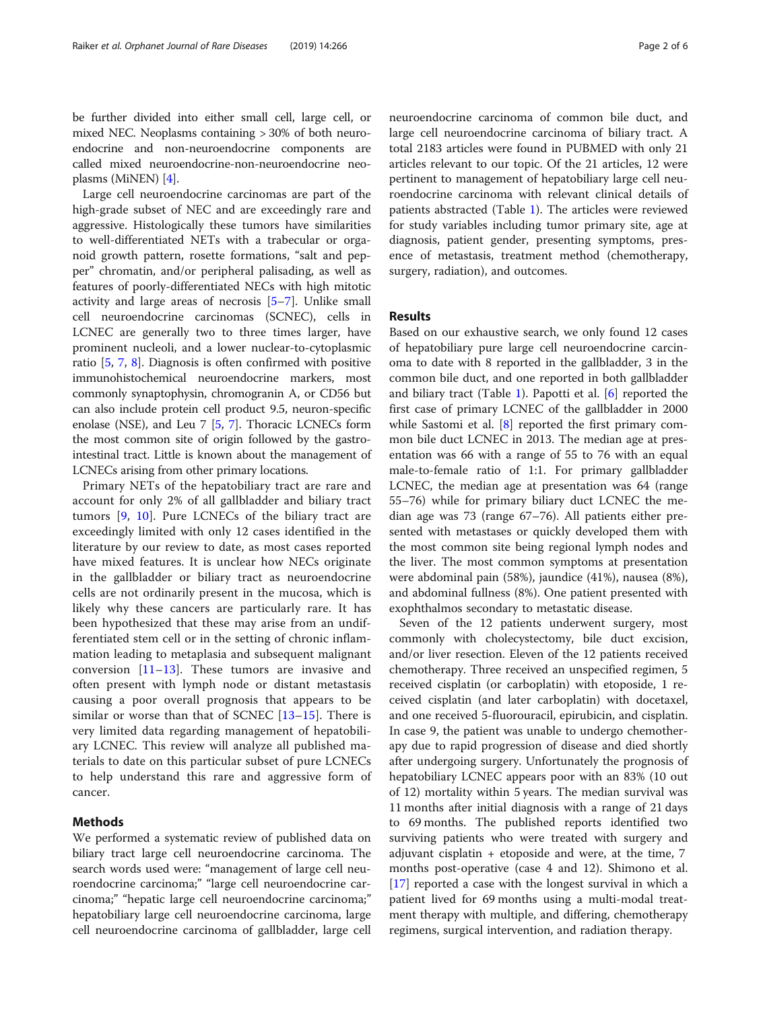be further divided into either small cell, large cell, or mixed NEC. Neoplasms containing > 30% of both neuroendocrine and non-neuroendocrine components are called mixed neuroendocrine-non-neuroendocrine neoplasms (MiNEN) [\[4](#page-4-0)].

Large cell neuroendocrine carcinomas are part of the high-grade subset of NEC and are exceedingly rare and aggressive. Histologically these tumors have similarities to well-differentiated NETs with a trabecular or organoid growth pattern, rosette formations, "salt and pepper" chromatin, and/or peripheral palisading, as well as features of poorly-differentiated NECs with high mitotic activity and large areas of necrosis [\[5](#page-4-0)–[7\]](#page-4-0). Unlike small cell neuroendocrine carcinomas (SCNEC), cells in LCNEC are generally two to three times larger, have prominent nucleoli, and a lower nuclear-to-cytoplasmic ratio [\[5,](#page-4-0) [7](#page-4-0), [8\]](#page-4-0). Diagnosis is often confirmed with positive immunohistochemical neuroendocrine markers, most commonly synaptophysin, chromogranin A, or CD56 but can also include protein cell product 9.5, neuron-specific enolase (NSE), and Leu 7 [\[5](#page-4-0), [7\]](#page-4-0). Thoracic LCNECs form the most common site of origin followed by the gastrointestinal tract. Little is known about the management of LCNECs arising from other primary locations.

Primary NETs of the hepatobiliary tract are rare and account for only 2% of all gallbladder and biliary tract tumors [[9,](#page-4-0) [10\]](#page-4-0). Pure LCNECs of the biliary tract are exceedingly limited with only 12 cases identified in the literature by our review to date, as most cases reported have mixed features. It is unclear how NECs originate in the gallbladder or biliary tract as neuroendocrine cells are not ordinarily present in the mucosa, which is likely why these cancers are particularly rare. It has been hypothesized that these may arise from an undifferentiated stem cell or in the setting of chronic inflammation leading to metaplasia and subsequent malignant conversion  $[11-13]$  $[11-13]$  $[11-13]$  $[11-13]$ . These tumors are invasive and often present with lymph node or distant metastasis causing a poor overall prognosis that appears to be similar or worse than that of SCNEC  $[13-15]$  $[13-15]$  $[13-15]$  $[13-15]$ . There is very limited data regarding management of hepatobiliary LCNEC. This review will analyze all published materials to date on this particular subset of pure LCNECs to help understand this rare and aggressive form of cancer.

# Methods

We performed a systematic review of published data on biliary tract large cell neuroendocrine carcinoma. The search words used were: "management of large cell neuroendocrine carcinoma;" "large cell neuroendocrine carcinoma;" "hepatic large cell neuroendocrine carcinoma;" hepatobiliary large cell neuroendocrine carcinoma, large cell neuroendocrine carcinoma of gallbladder, large cell

neuroendocrine carcinoma of common bile duct, and large cell neuroendocrine carcinoma of biliary tract. A total 2183 articles were found in PUBMED with only 21 articles relevant to our topic. Of the 21 articles, 12 were pertinent to management of hepatobiliary large cell neuroendocrine carcinoma with relevant clinical details of patients abstracted (Table [1\)](#page-2-0). The articles were reviewed for study variables including tumor primary site, age at diagnosis, patient gender, presenting symptoms, presence of metastasis, treatment method (chemotherapy, surgery, radiation), and outcomes.

# Results

Based on our exhaustive search, we only found 12 cases of hepatobiliary pure large cell neuroendocrine carcinoma to date with 8 reported in the gallbladder, 3 in the common bile duct, and one reported in both gallbladder and biliary tract (Table [1](#page-2-0)). Papotti et al. [\[6\]](#page-4-0) reported the first case of primary LCNEC of the gallbladder in 2000 while Sastomi et al. [[8\]](#page-4-0) reported the first primary common bile duct LCNEC in 2013. The median age at presentation was 66 with a range of 55 to 76 with an equal male-to-female ratio of 1:1. For primary gallbladder LCNEC, the median age at presentation was 64 (range 55–76) while for primary biliary duct LCNEC the median age was 73 (range 67–76). All patients either presented with metastases or quickly developed them with the most common site being regional lymph nodes and the liver. The most common symptoms at presentation were abdominal pain (58%), jaundice (41%), nausea (8%), and abdominal fullness (8%). One patient presented with exophthalmos secondary to metastatic disease.

Seven of the 12 patients underwent surgery, most commonly with cholecystectomy, bile duct excision, and/or liver resection. Eleven of the 12 patients received chemotherapy. Three received an unspecified regimen, 5 received cisplatin (or carboplatin) with etoposide, 1 received cisplatin (and later carboplatin) with docetaxel, and one received 5-fluorouracil, epirubicin, and cisplatin. In case 9, the patient was unable to undergo chemotherapy due to rapid progression of disease and died shortly after undergoing surgery. Unfortunately the prognosis of hepatobiliary LCNEC appears poor with an 83% (10 out of 12) mortality within 5 years. The median survival was 11 months after initial diagnosis with a range of 21 days to 69 months. The published reports identified two surviving patients who were treated with surgery and adjuvant cisplatin  $+$  etoposide and were, at the time,  $7$ months post-operative (case 4 and 12). Shimono et al. [[17\]](#page-5-0) reported a case with the longest survival in which a patient lived for 69 months using a multi-modal treatment therapy with multiple, and differing, chemotherapy regimens, surgical intervention, and radiation therapy.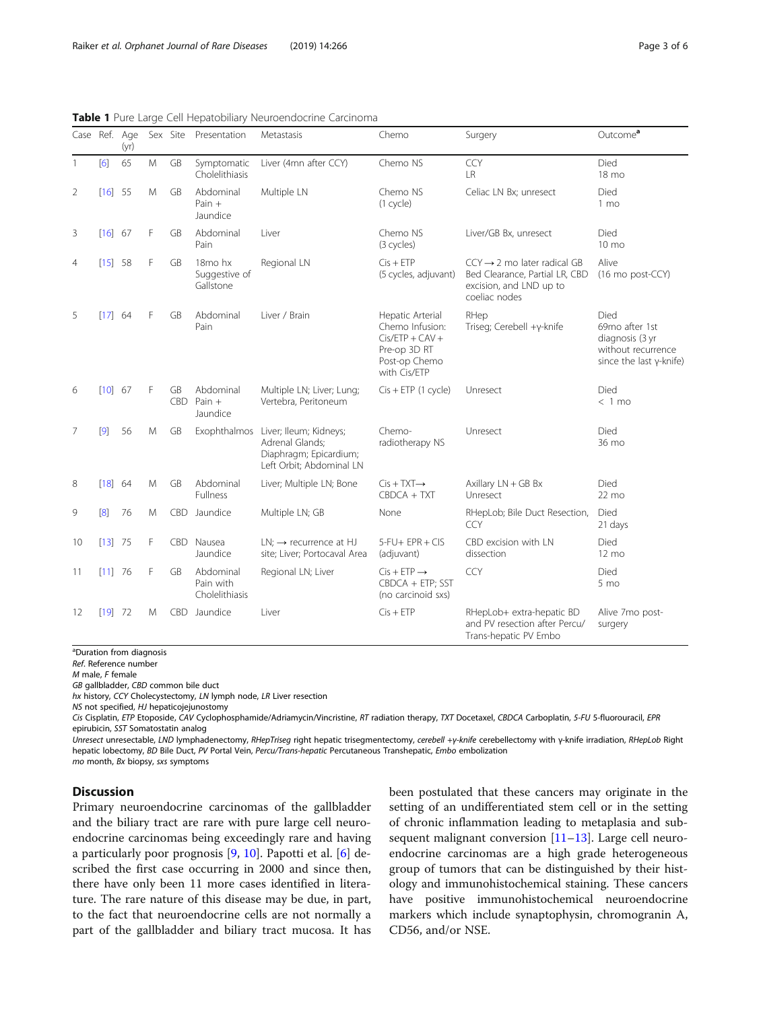| Case Ref. Age  |            | (yr) |   | Sex Site                | Presentation                                      | Metastasis                                                                                      | Chemo                                                                                                     | Surgery                                                                                                               | Outcome <sup>a</sup>                                                                               |
|----------------|------------|------|---|-------------------------|---------------------------------------------------|-------------------------------------------------------------------------------------------------|-----------------------------------------------------------------------------------------------------------|-----------------------------------------------------------------------------------------------------------------------|----------------------------------------------------------------------------------------------------|
|                | [6]        | 65   | M | <b>GB</b>               | Symptomatic<br>Cholelithiasis                     | Liver (4mn after CCY)                                                                           | Chemo NS                                                                                                  | <b>CCY</b><br><b>LR</b>                                                                                               | Died<br>18 mo                                                                                      |
| $\overline{2}$ | $[16]$ 55  |      | M | GB                      | Abdominal<br>Pain $+$<br>Jaundice                 | Multiple LN                                                                                     | Chemo NS<br>(1 cycle)                                                                                     | Celiac LN Bx; unresect                                                                                                | Died<br>$1 \text{ mo}$                                                                             |
| 3              | $[16]$ 67  |      | F | GB                      | Abdominal<br>Pain                                 | Liver                                                                                           | Chemo NS<br>(3 cycles)                                                                                    | Liver/GB Bx, unresect                                                                                                 | Died<br>10 mo                                                                                      |
| 4              | [15] 58    |      | F | GB                      | 18 <sub>mo</sub> hx<br>Suggestive of<br>Gallstone | Regional LN                                                                                     | $Cis + ETP$<br>(5 cycles, adjuvant)                                                                       | $CCY \rightarrow 2$ mo later radical GB<br>Bed Clearance, Partial LR, CBD<br>excision, and LND up to<br>coeliac nodes | Alive<br>(16 mo post-CCY)                                                                          |
| 5              | $[17]$ 64  |      | F | GB                      | Abdominal<br>Pain                                 | Liver / Brain                                                                                   | Hepatic Arterial<br>Chemo Infusion:<br>$Cis/ETP + CAV +$<br>Pre-op 3D RT<br>Post-op Chemo<br>with Cis/ETP | RHep<br>Triseg; Cerebell +y-knife                                                                                     | Died<br>69mo after 1st<br>diagnosis (3 yr<br>without recurrence<br>since the last $\gamma$ -knife) |
| 6              | [10] 67    |      | F | <b>GB</b><br><b>CBD</b> | Abdominal<br>Pain $+$<br>Jaundice                 | Multiple LN; Liver; Lung;<br>Vertebra, Peritoneum                                               | $Cis + ETP$ (1 cycle)                                                                                     | Unresect                                                                                                              | Died<br>$< 1$ mo                                                                                   |
| $\overline{7}$ | [9]        | 56   | M | GB                      | Exophthalmos                                      | Liver; Ileum; Kidneys;<br>Adrenal Glands:<br>Diaphragm; Epicardium;<br>Left Orbit; Abdominal LN | Chemo-<br>radiotherapy NS                                                                                 | Unresect                                                                                                              | Died<br>36 mo                                                                                      |
| 8              | [18]       | 64   | M | <b>GB</b>               | Abdominal<br>Fullness                             | Liver; Multiple LN; Bone                                                                        | $Cis + TXT \rightarrow$<br>$CBOCA + TXT$                                                                  | Axillary LN + GB Bx<br>Unresect                                                                                       | Died<br>22 mo                                                                                      |
| 9              | $\sqrt{8}$ | 76   | M | <b>CBD</b>              | Jaundice                                          | Multiple LN; GB                                                                                 | None                                                                                                      | RHepLob; Bile Duct Resection,<br>CCY                                                                                  | Died<br>21 days                                                                                    |
| 10             | $[13]$ 75  |      | F | CBD.                    | Nausea<br>Jaundice                                | $LN: \rightarrow$ recurrence at HJ<br>site; Liver; Portocaval Area                              | $5-FU+EPR+CIS$<br>(adjuvant)                                                                              | CBD excision with LN<br>dissection                                                                                    | Died<br>$12 \text{ mo}$                                                                            |
| 11             | $[11]$ 76  |      | F | GB                      | Abdominal<br>Pain with<br>Cholelithiasis          | Regional LN; Liver                                                                              | $Cis + ETP \rightarrow$<br>CBDCA + ETP; SST<br>(no carcinoid sxs)                                         | CCY                                                                                                                   | Died<br>5 mo                                                                                       |
| 12             | [19]       | - 72 | M |                         | CBD Jaundice                                      | Liver                                                                                           | $Cis + ETP$                                                                                               | RHepLob+ extra-hepatic BD<br>and PV resection after Percu/<br>Trans-hepatic PV Embo                                   | Alive 7mo post-<br>surgery                                                                         |

<span id="page-2-0"></span>Table 1 Pure Large Cell Hepatobiliary Neuroendocrine Carcinoma

<sup>a</sup>Duration from diagnosis

Ref. Reference number

M male, F female

GB gallbladder, CBD common bile duct

hx history, CCY Cholecystectomy, LN lymph node, LR Liver resection

NS not specified, HJ hepaticojejunostomy

Cis Cisplatin, ETP Etoposide, CAV Cyclophosphamide/Adriamycin/Vincristine, RT radiation therapy, TXT Docetaxel, CBDCA Carboplatin, 5-FU 5-fluorouracil, EPR<br>epirubicin, SST Somatostatin analog epirubicin, SST Somatostatin analog<br>Unresect unresectable, UND lymphac

Unresect unresectable, LND lymphadenectomy, RHepTriseg right hepatic trisegmentectomy, cerebell +γ-knife cerebellectomy with γ-knife irradiation, RHepLob Right<br>benatic lobectomy, RD Bile Duct, PV Portal Vein, *PerculTrans* hepatic lobectomy, BD Bile Duct, PV Portal Vein, Percu/Trans-hepatic Percutaneous Transhepatic, Embo embolization

mo month, Bx biopsy, sxs symptoms

# **Discussion**

Primary neuroendocrine carcinomas of the gallbladder and the biliary tract are rare with pure large cell neuroendocrine carcinomas being exceedingly rare and having a particularly poor prognosis [[9,](#page-4-0) [10](#page-4-0)]. Papotti et al. [\[6](#page-4-0)] described the first case occurring in 2000 and since then, there have only been 11 more cases identified in literature. The rare nature of this disease may be due, in part, to the fact that neuroendocrine cells are not normally a part of the gallbladder and biliary tract mucosa. It has been postulated that these cancers may originate in the setting of an undifferentiated stem cell or in the setting of chronic inflammation leading to metaplasia and subsequent malignant conversion  $[11–13]$  $[11–13]$  $[11–13]$ . Large cell neuroendocrine carcinomas are a high grade heterogeneous group of tumors that can be distinguished by their histology and immunohistochemical staining. These cancers have positive immunohistochemical neuroendocrine markers which include synaptophysin, chromogranin A, CD56, and/or NSE.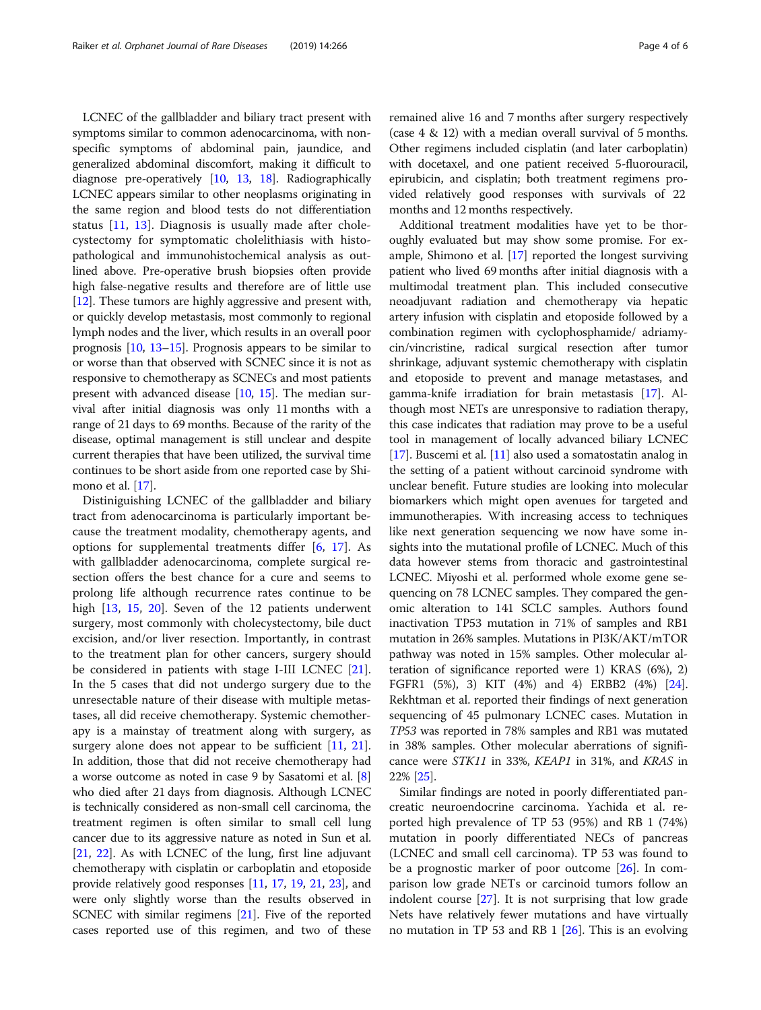LCNEC of the gallbladder and biliary tract present with symptoms similar to common adenocarcinoma, with nonspecific symptoms of abdominal pain, jaundice, and generalized abdominal discomfort, making it difficult to diagnose pre-operatively [\[10,](#page-4-0) [13,](#page-4-0) [18\]](#page-5-0). Radiographically LCNEC appears similar to other neoplasms originating in the same region and blood tests do not differentiation status [[11,](#page-4-0) [13](#page-4-0)]. Diagnosis is usually made after cholecystectomy for symptomatic cholelithiasis with histopathological and immunohistochemical analysis as outlined above. Pre-operative brush biopsies often provide high false-negative results and therefore are of little use [[12](#page-4-0)]. These tumors are highly aggressive and present with, or quickly develop metastasis, most commonly to regional lymph nodes and the liver, which results in an overall poor prognosis [[10,](#page-4-0) [13](#page-4-0)–[15](#page-4-0)]. Prognosis appears to be similar to or worse than that observed with SCNEC since it is not as responsive to chemotherapy as SCNECs and most patients present with advanced disease [\[10,](#page-4-0) [15](#page-4-0)]. The median survival after initial diagnosis was only 11 months with a range of 21 days to 69 months. Because of the rarity of the disease, optimal management is still unclear and despite current therapies that have been utilized, the survival time continues to be short aside from one reported case by Shi-mono et al. [\[17](#page-5-0)].

Distiniguishing LCNEC of the gallbladder and biliary tract from adenocarcinoma is particularly important because the treatment modality, chemotherapy agents, and options for supplemental treatments differ [\[6](#page-4-0), [17](#page-5-0)]. As with gallbladder adenocarcinoma, complete surgical resection offers the best chance for a cure and seems to prolong life although recurrence rates continue to be high [[13](#page-4-0), [15](#page-4-0), [20\]](#page-5-0). Seven of the 12 patients underwent surgery, most commonly with cholecystectomy, bile duct excision, and/or liver resection. Importantly, in contrast to the treatment plan for other cancers, surgery should be considered in patients with stage I-III LCNEC [\[21](#page-5-0)]. In the 5 cases that did not undergo surgery due to the unresectable nature of their disease with multiple metastases, all did receive chemotherapy. Systemic chemotherapy is a mainstay of treatment along with surgery, as surgery alone does not appear to be sufficient [\[11](#page-4-0), [21](#page-5-0)]. In addition, those that did not receive chemotherapy had a worse outcome as noted in case 9 by Sasatomi et al. [[8](#page-4-0)] who died after 21 days from diagnosis. Although LCNEC is technically considered as non-small cell carcinoma, the treatment regimen is often similar to small cell lung cancer due to its aggressive nature as noted in Sun et al. [[21](#page-5-0), [22](#page-5-0)]. As with LCNEC of the lung, first line adjuvant chemotherapy with cisplatin or carboplatin and etoposide provide relatively good responses [\[11](#page-4-0), [17](#page-5-0), [19](#page-5-0), [21](#page-5-0), [23](#page-5-0)], and were only slightly worse than the results observed in SCNEC with similar regimens [\[21\]](#page-5-0). Five of the reported cases reported use of this regimen, and two of these remained alive 16 and 7 months after surgery respectively (case 4 & 12) with a median overall survival of 5 months. Other regimens included cisplatin (and later carboplatin) with docetaxel, and one patient received 5-fluorouracil, epirubicin, and cisplatin; both treatment regimens provided relatively good responses with survivals of 22 months and 12 months respectively.

Additional treatment modalities have yet to be thoroughly evaluated but may show some promise. For example, Shimono et al. [\[17](#page-5-0)] reported the longest surviving patient who lived 69 months after initial diagnosis with a multimodal treatment plan. This included consecutive neoadjuvant radiation and chemotherapy via hepatic artery infusion with cisplatin and etoposide followed by a combination regimen with cyclophosphamide/ adriamycin/vincristine, radical surgical resection after tumor shrinkage, adjuvant systemic chemotherapy with cisplatin and etoposide to prevent and manage metastases, and gamma-knife irradiation for brain metastasis [\[17\]](#page-5-0). Although most NETs are unresponsive to radiation therapy, this case indicates that radiation may prove to be a useful tool in management of locally advanced biliary LCNEC [[17](#page-5-0)]. Buscemi et al. [\[11](#page-4-0)] also used a somatostatin analog in the setting of a patient without carcinoid syndrome with unclear benefit. Future studies are looking into molecular biomarkers which might open avenues for targeted and immunotherapies. With increasing access to techniques like next generation sequencing we now have some insights into the mutational profile of LCNEC. Much of this data however stems from thoracic and gastrointestinal LCNEC. Miyoshi et al. performed whole exome gene sequencing on 78 LCNEC samples. They compared the genomic alteration to 141 SCLC samples. Authors found inactivation TP53 mutation in 71% of samples and RB1 mutation in 26% samples. Mutations in PI3K/AKT/mTOR pathway was noted in 15% samples. Other molecular alteration of significance reported were 1) KRAS (6%), 2) FGFR1 (5%), 3) KIT (4%) and 4) ERBB2 (4%) [[24](#page-5-0)]. Rekhtman et al. reported their findings of next generation sequencing of 45 pulmonary LCNEC cases. Mutation in TP53 was reported in 78% samples and RB1 was mutated in 38% samples. Other molecular aberrations of significance were STK11 in 33%, KEAP1 in 31%, and KRAS in 22% [[25](#page-5-0)].

Similar findings are noted in poorly differentiated pancreatic neuroendocrine carcinoma. Yachida et al. reported high prevalence of TP 53 (95%) and RB 1 (74%) mutation in poorly differentiated NECs of pancreas (LCNEC and small cell carcinoma). TP 53 was found to be a prognostic marker of poor outcome [\[26](#page-5-0)]. In comparison low grade NETs or carcinoid tumors follow an indolent course [\[27](#page-5-0)]. It is not surprising that low grade Nets have relatively fewer mutations and have virtually no mutation in TP 53 and RB 1 [[26\]](#page-5-0). This is an evolving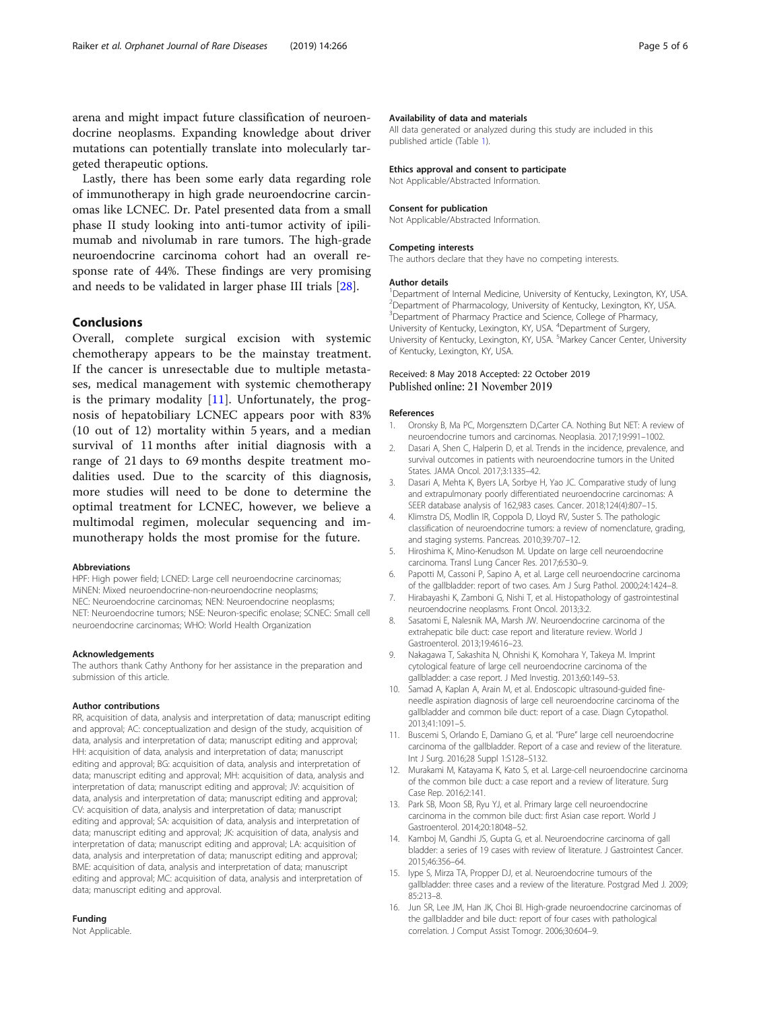<span id="page-4-0"></span>arena and might impact future classification of neuroendocrine neoplasms. Expanding knowledge about driver mutations can potentially translate into molecularly targeted therapeutic options.

Lastly, there has been some early data regarding role of immunotherapy in high grade neuroendocrine carcinomas like LCNEC. Dr. Patel presented data from a small phase II study looking into anti-tumor activity of ipilimumab and nivolumab in rare tumors. The high-grade neuroendocrine carcinoma cohort had an overall response rate of 44%. These findings are very promising and needs to be validated in larger phase III trials [\[28\]](#page-5-0).

# Conclusions

Overall, complete surgical excision with systemic chemotherapy appears to be the mainstay treatment. If the cancer is unresectable due to multiple metastases, medical management with systemic chemotherapy is the primary modality  $[11]$ . Unfortunately, the prognosis of hepatobiliary LCNEC appears poor with 83% (10 out of 12) mortality within 5 years, and a median survival of 11 months after initial diagnosis with a range of 21 days to 69 months despite treatment modalities used. Due to the scarcity of this diagnosis, more studies will need to be done to determine the optimal treatment for LCNEC, however, we believe a multimodal regimen, molecular sequencing and immunotherapy holds the most promise for the future.

#### Abbreviations

HPF: High power field; LCNED: Large cell neuroendocrine carcinomas; MiNEN: Mixed neuroendocrine-non-neuroendocrine neoplasms; NEC: Neuroendocrine carcinomas; NEN: Neuroendocrine neoplasms; NET: Neuroendocrine tumors; NSE: Neuron-specific enolase; SCNEC: Small cell neuroendocrine carcinomas; WHO: World Health Organization

#### Acknowledgements

The authors thank Cathy Anthony for her assistance in the preparation and submission of this article.

#### Author contributions

RR, acquisition of data, analysis and interpretation of data; manuscript editing and approval; AC: conceptualization and design of the study, acquisition of data, analysis and interpretation of data; manuscript editing and approval; HH: acquisition of data, analysis and interpretation of data; manuscript editing and approval; BG: acquisition of data, analysis and interpretation of data; manuscript editing and approval; MH: acquisition of data, analysis and interpretation of data; manuscript editing and approval; JV: acquisition of data, analysis and interpretation of data; manuscript editing and approval; CV: acquisition of data, analysis and interpretation of data; manuscript editing and approval; SA: acquisition of data, analysis and interpretation of data; manuscript editing and approval; JK: acquisition of data, analysis and interpretation of data; manuscript editing and approval; LA: acquisition of data, analysis and interpretation of data; manuscript editing and approval; BME: acquisition of data, analysis and interpretation of data; manuscript editing and approval; MC: acquisition of data, analysis and interpretation of data; manuscript editing and approval.

# Funding

Not Applicable.

# Availability of data and materials

All data generated or analyzed during this study are included in this published article (Table [1](#page-2-0)).

# Ethics approval and consent to participate

Not Applicable/Abstracted Information.

# Consent for publication

Not Applicable/Abstracted Information.

#### Competing interests

The authors declare that they have no competing interests.

#### Author details

<sup>1</sup>Department of Internal Medicine, University of Kentucky, Lexington, KY, USA. <sup>2</sup>Department of Pharmacology, University of Kentucky, Lexington, KY, USA <sup>3</sup>Department of Pharmacy Practice and Science, College of Pharmacy University of Kentucky, Lexington, KY, USA. <sup>4</sup>Department of Surgery University of Kentucky, Lexington, KY, USA. <sup>5</sup>Markey Cancer Center, University of Kentucky, Lexington, KY, USA.

# Received: 8 May 2018 Accepted: 22 October 2019 Published online: 21 November 2019

#### References

- 1. Oronsky B, Ma PC, Morgensztern D,Carter CA. Nothing But NET: A review of neuroendocrine tumors and carcinomas. Neoplasia. 2017;19:991–1002.
- 2. Dasari A, Shen C, Halperin D, et al. Trends in the incidence, prevalence, and survival outcomes in patients with neuroendocrine tumors in the United States. JAMA Oncol. 2017;3:1335–42.
- 3. Dasari A, Mehta K, Byers LA, Sorbye H, Yao JC. Comparative study of lung and extrapulmonary poorly differentiated neuroendocrine carcinomas: A SEER database analysis of 162,983 cases. Cancer. 2018;124(4):807–15.
- 4. Klimstra DS, Modlin IR, Coppola D, Lloyd RV, Suster S. The pathologic classification of neuroendocrine tumors: a review of nomenclature, grading, and staging systems. Pancreas. 2010;39:707–12.
- 5. Hiroshima K, Mino-Kenudson M. Update on large cell neuroendocrine carcinoma. Transl Lung Cancer Res. 2017;6:530–9.
- 6. Papotti M, Cassoni P, Sapino A, et al. Large cell neuroendocrine carcinoma of the gallbladder: report of two cases. Am J Surg Pathol. 2000;24:1424–8.
- 7. Hirabayashi K, Zamboni G, Nishi T, et al. Histopathology of gastrointestinal neuroendocrine neoplasms. Front Oncol. 2013;3:2.
- 8. Sasatomi E, Nalesnik MA, Marsh JW. Neuroendocrine carcinoma of the extrahepatic bile duct: case report and literature review. World J Gastroenterol. 2013;19:4616–23.
- 9. Nakagawa T, Sakashita N, Ohnishi K, Komohara Y, Takeya M. Imprint cytological feature of large cell neuroendocrine carcinoma of the gallbladder: a case report. J Med Investig. 2013;60:149–53.
- 10. Samad A, Kaplan A, Arain M, et al. Endoscopic ultrasound-guided fineneedle aspiration diagnosis of large cell neuroendocrine carcinoma of the gallbladder and common bile duct: report of a case. Diagn Cytopathol. 2013;41:1091–5.
- 11. Buscemi S, Orlando E, Damiano G, et al. "Pure" large cell neuroendocrine carcinoma of the gallbladder. Report of a case and review of the literature. Int J Surg. 2016;28 Suppl 1:S128–S132.
- 12. Murakami M, Katayama K, Kato S, et al. Large-cell neuroendocrine carcinoma of the common bile duct: a case report and a review of literature. Surg Case Rep. 2016;2:141.
- 13. Park SB, Moon SB, Ryu YJ, et al. Primary large cell neuroendocrine carcinoma in the common bile duct: first Asian case report. World J Gastroenterol. 2014;20:18048–52.
- 14. Kamboj M, Gandhi JS, Gupta G, et al. Neuroendocrine carcinoma of gall bladder: a series of 19 cases with review of literature. J Gastrointest Cancer. 2015;46:356–64.
- 15. Iype S, Mirza TA, Propper DJ, et al. Neuroendocrine tumours of the gallbladder: three cases and a review of the literature. Postgrad Med J. 2009; 85:213–8.
- 16. Jun SR, Lee JM, Han JK, Choi BI. High-grade neuroendocrine carcinomas of the gallbladder and bile duct: report of four cases with pathological correlation. J Comput Assist Tomogr. 2006;30:604–9.